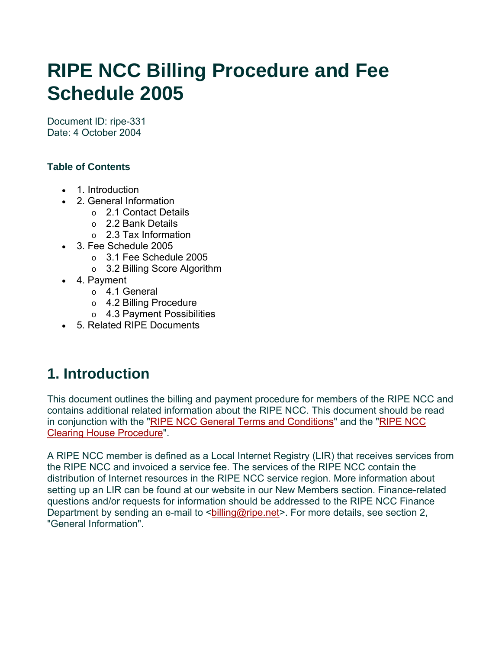# **RIPE NCC Billing Procedure and Fee Schedule 2005**

Document ID: ripe-331 Date: 4 October 2004

### **Table of Contents**

- 1. Introduction
- 2. General Information
	- o 2.1 Contact Details
	- o 2.2 Bank Details
	- o 2.3 Tax Information
- 3. Fee Schedule 2005
	- o 3.1 Fee Schedule 2005
	- o 3.2 Billing Score Algorithm
- 4. Payment
	- o 4.1 General
	- o 4.2 Billing Procedure
	- o 4.3 Payment Possibilities
- 5. Related RIPE Documents

# **1. Introduction**

This document outlines the billing and payment procedure for members of the RIPE NCC and contains additional related information about the RIPE NCC. This document should be read in conjunction with the ["RIPE NCC General Terms and Conditions](http://www.ripe.net/ripe/docs/terms-conditions.html)" and the "[RIPE NCC](http://www.ripe.net/ripe/docs/clearinghouse.html)  [Clearing House Procedure](http://www.ripe.net/ripe/docs/clearinghouse.html)".

A RIPE NCC member is defined as a Local Internet Registry (LIR) that receives services from the RIPE NCC and invoiced a service fee. The services of the RIPE NCC contain the distribution of Internet resources in the RIPE NCC service region. More information about setting up an LIR can be found at our website in our New Members section. Finance-related questions and/or requests for information should be addressed to the RIPE NCC Finance Department by sending an e-mail to <bo illing@ripe.net>. For more details, see section 2, "General Information".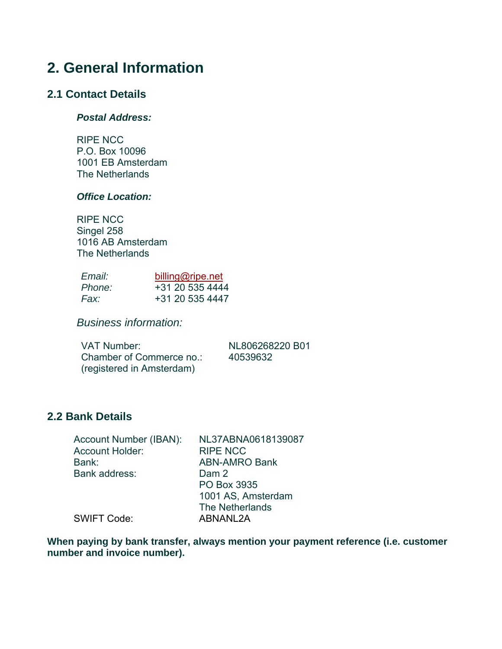### **2. General Information**

#### **2.1 Contact Details**

#### *Postal Address:*

RIPE NCC P.O. Box 10096 1001 EB Amsterdam The Netherlands

#### *Office Location:*

RIPE NCC Singel 258 1016 AB Amsterdam The Netherlands

| <i>Email:</i> | billing@ripe.net |  |  |  |  |
|---------------|------------------|--|--|--|--|
| Phone:        | +31 20 535 4444  |  |  |  |  |
| Fax:          | +31 20 535 4447  |  |  |  |  |

*Business information:* 

VAT Number: NL806268220 B01 Chamber of Commerce no.: 40539632 (registered in Amsterdam)

#### **2.2 Bank Details**

| Account Number (IBAN): | NL37ABNA0618139087   |
|------------------------|----------------------|
| <b>Account Holder:</b> | <b>RIPE NCC</b>      |
| Bank:                  | <b>ABN-AMRO Bank</b> |
| Bank address:          | Dam 2                |
|                        | PO Box 3935          |
|                        | 1001 AS, Amsterdam   |
|                        | The Netherlands      |
| <b>SWIFT Code:</b>     | ABNANL2A             |
|                        |                      |

**When paying by bank transfer, always mention your payment reference (i.e. customer number and invoice number).**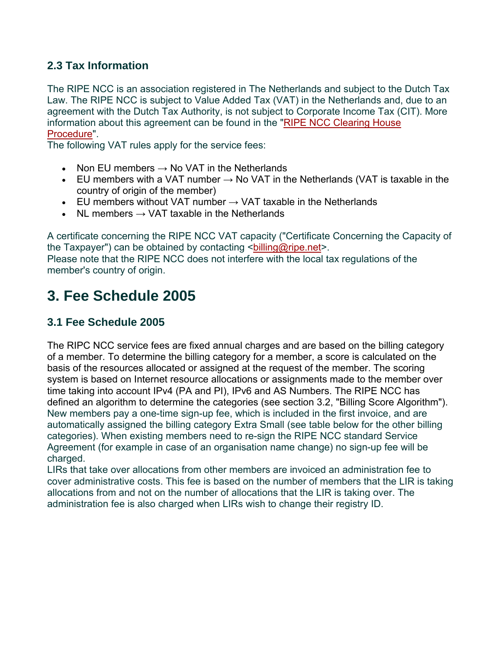### **2.3 Tax Information**

The RIPE NCC is an association registered in The Netherlands and subject to the Dutch Tax Law. The RIPE NCC is subject to Value Added Tax (VAT) in the Netherlands and, due to an agreement with the Dutch Tax Authority, is not subject to Corporate Income Tax (CIT). More information about this agreement can be found in the ["RIPE NCC Clearing House](http://www.ripe.net/ripe/docs/clearinghouse.html)  [Procedure"](http://www.ripe.net/ripe/docs/clearinghouse.html).

The following VAT rules apply for the service fees:

- Non EU members  $\rightarrow$  No VAT in the Netherlands
- EU members with a VAT number  $\rightarrow$  No VAT in the Netherlands (VAT is taxable in the country of origin of the member)
- EU members without VAT number  $\rightarrow$  VAT taxable in the Netherlands
- NL members  $\rightarrow$  VAT taxable in the Netherlands

A certificate concerning the RIPE NCC VAT capacity ("Certificate Concerning the Capacity of the Taxpayer") can be obtained by contacting <br/>billing@ripe.net>. Please note that the RIPE NCC does not interfere with the local tax regulations of the member's country of origin.

### **3. Fee Schedule 2005**

### **3.1 Fee Schedule 2005**

The RIPC NCC service fees are fixed annual charges and are based on the billing category of a member. To determine the billing category for a member, a score is calculated on the basis of the resources allocated or assigned at the request of the member. The scoring system is based on Internet resource allocations or assignments made to the member over time taking into account IPv4 (PA and PI), IPv6 and AS Numbers. The RIPE NCC has defined an algorithm to determine the categories (see section 3.2, "Billing Score Algorithm"). New members pay a one-time sign-up fee, which is included in the first invoice, and are automatically assigned the billing category Extra Small (see table below for the other billing categories). When existing members need to re-sign the RIPE NCC standard Service Agreement (for example in case of an organisation name change) no sign-up fee will be charged.

LIRs that take over allocations from other members are invoiced an administration fee to cover administrative costs. This fee is based on the number of members that the LIR is taking allocations from and not on the number of allocations that the LIR is taking over. The administration fee is also charged when LIRs wish to change their registry ID.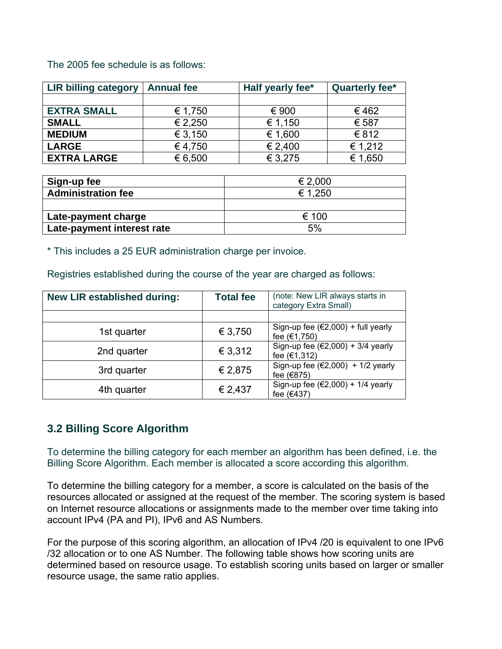The 2005 fee schedule is as follows:

| <b>LIR billing category</b> | <b>Annual fee</b> | Half yearly fee* | Quarterly fee* |  |
|-----------------------------|-------------------|------------------|----------------|--|
|                             |                   |                  |                |  |
| <b>EXTRA SMALL</b>          | € 1,750           | € 900            | €462           |  |
| <b>SMALL</b>                | € 2,250           | € 1,150          | € 587          |  |
| <b>MEDIUM</b>               | € 3,150           | € 1,600          | € 812          |  |
| <b>LARGE</b>                | € 4,750           | € 2,400          | € 1,212        |  |
| <b>EXTRA LARGE</b>          | € 6,500           | € 3,275          | € 1,650        |  |

| Sign-up fee                | € 2.000 |
|----------------------------|---------|
| <b>Administration fee</b>  | € 1.250 |
|                            |         |
| Late-payment charge        | € 100   |
| Late-payment interest rate | 5%      |

\* This includes a 25 EUR administration charge per invoice.

Registries established during the course of the year are charged as follows:

| New LIR established during: | <b>Total fee</b> | (note: New LIR always starts in<br>category Extra Small)  |
|-----------------------------|------------------|-----------------------------------------------------------|
|                             |                  |                                                           |
| 1st quarter                 | € 3,750          | Sign-up fee $(€2,000) + full$ yearly<br>fee (€1,750)      |
| 2nd quarter                 | € 3,312          | Sign-up fee $(€2,000) + 3/4$ yearly<br>fee (€1,312)       |
| 3rd quarter                 | € 2,875          | Sign-up fee $(\epsilon 2,000)$ + 1/2 yearly<br>fee (€875) |
| 4th quarter                 | € 2,437          | Sign-up fee $(\epsilon 2,000)$ + 1/4 yearly<br>fee (€437) |

### **3.2 Billing Score Algorithm**

To determine the billing category for each member an algorithm has been defined, i.e. the Billing Score Algorithm. Each member is allocated a score according this algorithm.

To determine the billing category for a member, a score is calculated on the basis of the resources allocated or assigned at the request of the member. The scoring system is based on Internet resource allocations or assignments made to the member over time taking into account IPv4 (PA and PI), IPv6 and AS Numbers.

For the purpose of this scoring algorithm, an allocation of IPv4 /20 is equivalent to one IPv6 /32 allocation or to one AS Number. The following table shows how scoring units are determined based on resource usage. To establish scoring units based on larger or smaller resource usage, the same ratio applies.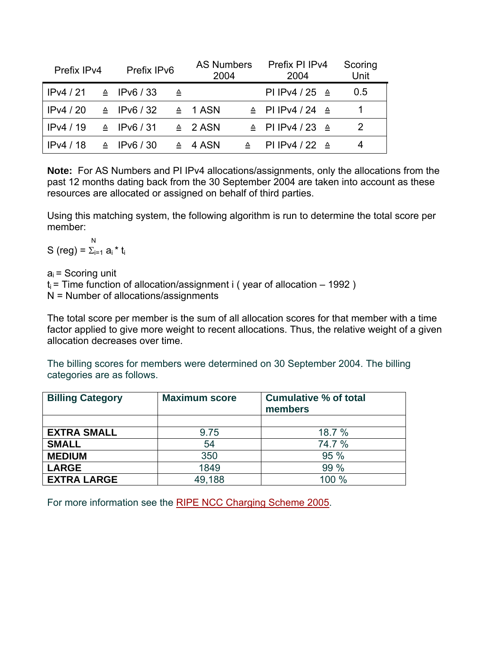| Prefix IP <sub>v4</sub> | Prefix IPv6           |   | <b>AS Numbers</b><br>2004 |   | Prefix PI IPv4<br>2004            | Scoring<br>Unit |
|-------------------------|-----------------------|---|---------------------------|---|-----------------------------------|-----------------|
| IPv4/21                 | $\triangle$ IPv6 / 33 | ᅀ |                           |   | PI IPv4 / 25 $\triangleq$         | $0.5^{\circ}$   |
| IPv4/20                 | $\triangle$ IPv6/32   |   | $\triangle$ 1 ASN         |   | $\triangle$ PIIPv4/24 $\triangle$ |                 |
| IPv4/19                 | $\triangle$ IPv6/31   |   | $\triangle$ 2 ASN         |   | $\triangle$ PIIPv4/23 $\triangle$ | $\mathcal{P}$   |
| IPv4/18                 | $\triangle$ IPv6 / 30 |   | $\triangle$ 4 ASN         | ᅀ | PI IPv4 / 22 $\triangleq$         | 4               |

**Note:** For AS Numbers and PI IPv4 allocations/assignments, only the allocations from the past 12 months dating back from the 30 September 2004 are taken into account as these resources are allocated or assigned on behalf of third parties.

Using this matching system, the following algorithm is run to determine the total score per member:

 N S (reg) =  $\Sigma_{i=1}$  a<sub>i</sub> \* t<sub>i</sub>

 $a_i$  = Scoring unit

 $t_i$  = Time function of allocation/assignment i (year of allocation – 1992)

N = Number of allocations/assignments

The total score per member is the sum of all allocation scores for that member with a time factor applied to give more weight to recent allocations. Thus, the relative weight of a given allocation decreases over time.

The billing scores for members were determined on 30 September 2004. The billing categories are as follows.

| <b>Billing Category</b> | <b>Maximum score</b> | <b>Cumulative % of total</b><br>members |  |
|-------------------------|----------------------|-----------------------------------------|--|
|                         |                      |                                         |  |
| <b>EXTRA SMALL</b>      | 9.75                 | 18.7 %                                  |  |
| <b>SMALL</b>            | 54                   | 74.7 %                                  |  |
| <b>MEDIUM</b>           | 350                  | 95 %                                    |  |
| <b>LARGE</b>            | 1849                 | 99 %                                    |  |
| <b>EXTRA LARGE</b>      | 49,188               | 100 %                                   |  |

For more information see the [RIPE NCC Charging Scheme 2005.](http://www.ripe.net/ripe/docs/charging2005.html)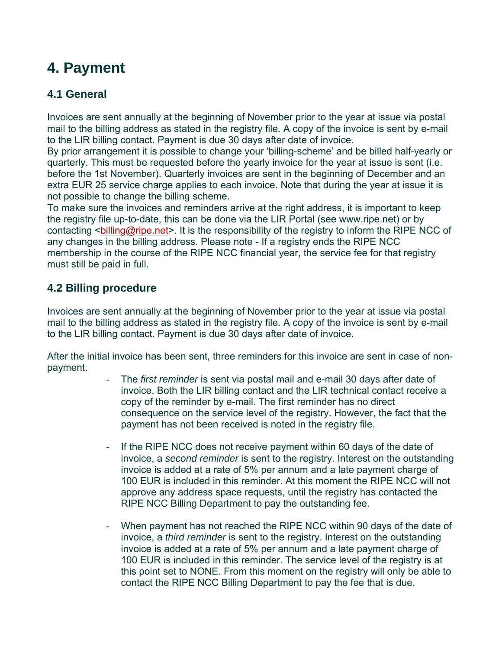## **4. Payment**

### **4.1 General**

Invoices are sent annually at the beginning of November prior to the year at issue via postal mail to the billing address as stated in the registry file. A copy of the invoice is sent by e-mail to the LIR billing contact. Payment is due 30 days after date of invoice.

By prior arrangement it is possible to change your 'billing-scheme' and be billed half-yearly or quarterly. This must be requested before the yearly invoice for the year at issue is sent (i.e. before the 1st November). Quarterly invoices are sent in the beginning of December and an extra EUR 25 service charge applies to each invoice. Note that during the year at issue it is not possible to change the billing scheme.

To make sure the invoices and reminders arrive at the right address, it is important to keep the registry file up-to-date, this can be done via the LIR Portal (see www.ripe.net) or by contacting <bailling@ripe.net>. It is the responsibility of the registry to inform the RIPE NCC of any changes in the billing address. Please note - If a registry ends the RIPE NCC membership in the course of the RIPE NCC financial year, the service fee for that registry must still be paid in full.

### **4.2 Billing procedure**

Invoices are sent annually at the beginning of November prior to the year at issue via postal mail to the billing address as stated in the registry file. A copy of the invoice is sent by e-mail to the LIR billing contact. Payment is due 30 days after date of invoice.

After the initial invoice has been sent, three reminders for this invoice are sent in case of nonpayment.

- The *first reminder* is sent via postal mail and e-mail 30 days after date of invoice. Both the LIR billing contact and the LIR technical contact receive a copy of the reminder by e-mail. The first reminder has no direct consequence on the service level of the registry. However, the fact that the payment has not been received is noted in the registry file.
- If the RIPE NCC does not receive payment within 60 days of the date of invoice, a *second reminder* is sent to the registry. Interest on the outstanding invoice is added at a rate of 5% per annum and a late payment charge of 100 EUR is included in this reminder. At this moment the RIPE NCC will not approve any address space requests, until the registry has contacted the RIPE NCC Billing Department to pay the outstanding fee.
- When payment has not reached the RIPE NCC within 90 days of the date of invoice, a *third reminder* is sent to the registry. Interest on the outstanding invoice is added at a rate of 5% per annum and a late payment charge of 100 EUR is included in this reminder. The service level of the registry is at this point set to NONE. From this moment on the registry will only be able to contact the RIPE NCC Billing Department to pay the fee that is due.